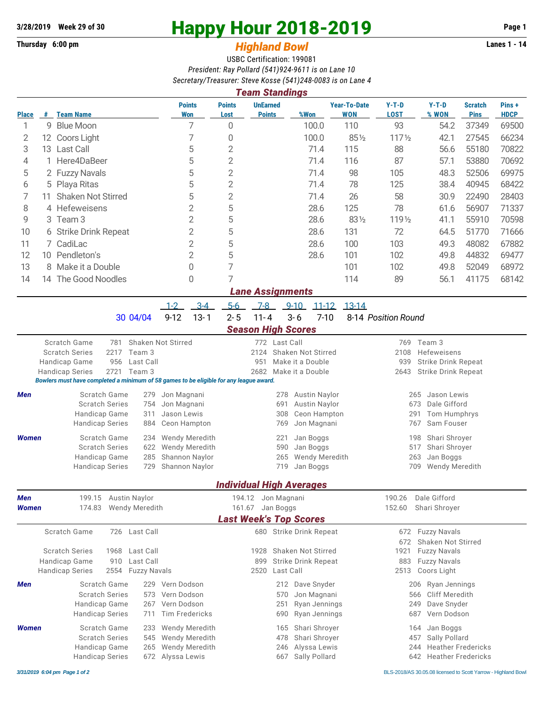**Thursday 6:00 pm Highland Bowl** 

## **3/28/2019** Week 29 of 30<br>
Thursday 6:00 pm<br> **Happy Hour 2018-2019 Page 1**<br> **Highland Rowl**

## USBC Certification: 199081 *President: Ray Pollard (541)924-9611 is on Lane 10*

*Secretary/Treasurer: Steve Kosse (541)248-0083 is on Lane 4*

| <b>Team Standings</b>                       |                               |                                                                                                                                                                                                                                                                                                                                                                                                                                                                                                                                                                                 |                                                                                                                                                                                                                                                                                                                                                                          |                                                              |                                                                                                                         |                                                                                                                                                                                                                 |                                                                                                                                                                                                                                                                                                                                                                                                                                                                                                                                                                                                                                    |                                                                                                                                           |                                                                                                                                                  |                                                                                                                                                                                                                                                                                                                                                                                                              |  |  |  |
|---------------------------------------------|-------------------------------|---------------------------------------------------------------------------------------------------------------------------------------------------------------------------------------------------------------------------------------------------------------------------------------------------------------------------------------------------------------------------------------------------------------------------------------------------------------------------------------------------------------------------------------------------------------------------------|--------------------------------------------------------------------------------------------------------------------------------------------------------------------------------------------------------------------------------------------------------------------------------------------------------------------------------------------------------------------------|--------------------------------------------------------------|-------------------------------------------------------------------------------------------------------------------------|-----------------------------------------------------------------------------------------------------------------------------------------------------------------------------------------------------------------|------------------------------------------------------------------------------------------------------------------------------------------------------------------------------------------------------------------------------------------------------------------------------------------------------------------------------------------------------------------------------------------------------------------------------------------------------------------------------------------------------------------------------------------------------------------------------------------------------------------------------------|-------------------------------------------------------------------------------------------------------------------------------------------|--------------------------------------------------------------------------------------------------------------------------------------------------|--------------------------------------------------------------------------------------------------------------------------------------------------------------------------------------------------------------------------------------------------------------------------------------------------------------------------------------------------------------------------------------------------------------|--|--|--|
|                                             |                               | <b>Points</b><br><b>Won</b>                                                                                                                                                                                                                                                                                                                                                                                                                                                                                                                                                     | <b>Points</b><br>Lost                                                                                                                                                                                                                                                                                                                                                    | <b>Points</b>                                                | %Won                                                                                                                    | <b>WON</b>                                                                                                                                                                                                      | $Y-T-D$<br><b>LOST</b>                                                                                                                                                                                                                                                                                                                                                                                                                                                                                                                                                                                                             | $Y-T-D$<br>% WON                                                                                                                          | <b>Scratch</b><br><b>Pins</b>                                                                                                                    | Pins+<br><b>HDCP</b>                                                                                                                                                                                                                                                                                                                                                                                         |  |  |  |
| 9                                           |                               | 7                                                                                                                                                                                                                                                                                                                                                                                                                                                                                                                                                                               | $\mathbf 0$                                                                                                                                                                                                                                                                                                                                                              |                                                              |                                                                                                                         | 110                                                                                                                                                                                                             | 93                                                                                                                                                                                                                                                                                                                                                                                                                                                                                                                                                                                                                                 | 54.2                                                                                                                                      | 37349                                                                                                                                            | 69500                                                                                                                                                                                                                                                                                                                                                                                                        |  |  |  |
|                                             |                               | 7                                                                                                                                                                                                                                                                                                                                                                                                                                                                                                                                                                               | 0                                                                                                                                                                                                                                                                                                                                                                        |                                                              |                                                                                                                         |                                                                                                                                                                                                                 | $117\frac{1}{2}$                                                                                                                                                                                                                                                                                                                                                                                                                                                                                                                                                                                                                   | 42.1                                                                                                                                      | 27545                                                                                                                                            | 66234                                                                                                                                                                                                                                                                                                                                                                                                        |  |  |  |
|                                             |                               | 5                                                                                                                                                                                                                                                                                                                                                                                                                                                                                                                                                                               | $\sqrt{2}$                                                                                                                                                                                                                                                                                                                                                               |                                                              |                                                                                                                         | 115                                                                                                                                                                                                             | 88                                                                                                                                                                                                                                                                                                                                                                                                                                                                                                                                                                                                                                 | 56.6                                                                                                                                      | 55180                                                                                                                                            | 70822                                                                                                                                                                                                                                                                                                                                                                                                        |  |  |  |
|                                             |                               | 5                                                                                                                                                                                                                                                                                                                                                                                                                                                                                                                                                                               | $\overline{2}$                                                                                                                                                                                                                                                                                                                                                           |                                                              |                                                                                                                         | 116                                                                                                                                                                                                             | 87                                                                                                                                                                                                                                                                                                                                                                                                                                                                                                                                                                                                                                 | 57.1                                                                                                                                      | 53880                                                                                                                                            | 70692                                                                                                                                                                                                                                                                                                                                                                                                        |  |  |  |
|                                             |                               | 5                                                                                                                                                                                                                                                                                                                                                                                                                                                                                                                                                                               | $\overline{2}$                                                                                                                                                                                                                                                                                                                                                           |                                                              |                                                                                                                         | 98                                                                                                                                                                                                              | 105                                                                                                                                                                                                                                                                                                                                                                                                                                                                                                                                                                                                                                | 48.3                                                                                                                                      | 52506                                                                                                                                            | 69975                                                                                                                                                                                                                                                                                                                                                                                                        |  |  |  |
|                                             |                               |                                                                                                                                                                                                                                                                                                                                                                                                                                                                                                                                                                                 |                                                                                                                                                                                                                                                                                                                                                                          |                                                              |                                                                                                                         |                                                                                                                                                                                                                 |                                                                                                                                                                                                                                                                                                                                                                                                                                                                                                                                                                                                                                    | 38.4                                                                                                                                      | 40945                                                                                                                                            | 68422                                                                                                                                                                                                                                                                                                                                                                                                        |  |  |  |
| 11                                          |                               |                                                                                                                                                                                                                                                                                                                                                                                                                                                                                                                                                                                 |                                                                                                                                                                                                                                                                                                                                                                          |                                                              |                                                                                                                         |                                                                                                                                                                                                                 |                                                                                                                                                                                                                                                                                                                                                                                                                                                                                                                                                                                                                                    | 30.9                                                                                                                                      | 22490                                                                                                                                            | 28403                                                                                                                                                                                                                                                                                                                                                                                                        |  |  |  |
|                                             |                               | $\overline{2}$                                                                                                                                                                                                                                                                                                                                                                                                                                                                                                                                                                  |                                                                                                                                                                                                                                                                                                                                                                          |                                                              |                                                                                                                         | 125                                                                                                                                                                                                             | 78                                                                                                                                                                                                                                                                                                                                                                                                                                                                                                                                                                                                                                 | 61.6                                                                                                                                      | 56907                                                                                                                                            | 71337                                                                                                                                                                                                                                                                                                                                                                                                        |  |  |  |
|                                             |                               |                                                                                                                                                                                                                                                                                                                                                                                                                                                                                                                                                                                 |                                                                                                                                                                                                                                                                                                                                                                          |                                                              |                                                                                                                         |                                                                                                                                                                                                                 |                                                                                                                                                                                                                                                                                                                                                                                                                                                                                                                                                                                                                                    |                                                                                                                                           |                                                                                                                                                  | 70598                                                                                                                                                                                                                                                                                                                                                                                                        |  |  |  |
| 2<br>6 Strike Drink Repeat                  |                               |                                                                                                                                                                                                                                                                                                                                                                                                                                                                                                                                                                                 |                                                                                                                                                                                                                                                                                                                                                                          |                                                              |                                                                                                                         |                                                                                                                                                                                                                 |                                                                                                                                                                                                                                                                                                                                                                                                                                                                                                                                                                                                                                    |                                                                                                                                           |                                                                                                                                                  | 71666                                                                                                                                                                                                                                                                                                                                                                                                        |  |  |  |
| 7 CadiLac                                   |                               |                                                                                                                                                                                                                                                                                                                                                                                                                                                                                                                                                                                 |                                                                                                                                                                                                                                                                                                                                                                          |                                                              |                                                                                                                         |                                                                                                                                                                                                                 |                                                                                                                                                                                                                                                                                                                                                                                                                                                                                                                                                                                                                                    |                                                                                                                                           |                                                                                                                                                  | 67882                                                                                                                                                                                                                                                                                                                                                                                                        |  |  |  |
|                                             |                               |                                                                                                                                                                                                                                                                                                                                                                                                                                                                                                                                                                                 |                                                                                                                                                                                                                                                                                                                                                                          |                                                              |                                                                                                                         |                                                                                                                                                                                                                 |                                                                                                                                                                                                                                                                                                                                                                                                                                                                                                                                                                                                                                    |                                                                                                                                           |                                                                                                                                                  | 69477                                                                                                                                                                                                                                                                                                                                                                                                        |  |  |  |
|                                             |                               | 0                                                                                                                                                                                                                                                                                                                                                                                                                                                                                                                                                                               |                                                                                                                                                                                                                                                                                                                                                                          |                                                              |                                                                                                                         |                                                                                                                                                                                                                 |                                                                                                                                                                                                                                                                                                                                                                                                                                                                                                                                                                                                                                    |                                                                                                                                           |                                                                                                                                                  | 68972                                                                                                                                                                                                                                                                                                                                                                                                        |  |  |  |
|                                             |                               | 0                                                                                                                                                                                                                                                                                                                                                                                                                                                                                                                                                                               | 7                                                                                                                                                                                                                                                                                                                                                                        |                                                              |                                                                                                                         | 114                                                                                                                                                                                                             |                                                                                                                                                                                                                                                                                                                                                                                                                                                                                                                                                                                                                                    |                                                                                                                                           |                                                                                                                                                  | 68142                                                                                                                                                                                                                                                                                                                                                                                                        |  |  |  |
| <b>Lane Assignments</b>                     |                               |                                                                                                                                                                                                                                                                                                                                                                                                                                                                                                                                                                                 |                                                                                                                                                                                                                                                                                                                                                                          |                                                              |                                                                                                                         |                                                                                                                                                                                                                 |                                                                                                                                                                                                                                                                                                                                                                                                                                                                                                                                                                                                                                    |                                                                                                                                           |                                                                                                                                                  |                                                                                                                                                                                                                                                                                                                                                                                                              |  |  |  |
|                                             |                               | $3-4$                                                                                                                                                                                                                                                                                                                                                                                                                                                                                                                                                                           | $5-6$                                                                                                                                                                                                                                                                                                                                                                    | $7-8$                                                        | $9 - 10$                                                                                                                |                                                                                                                                                                                                                 |                                                                                                                                                                                                                                                                                                                                                                                                                                                                                                                                                                                                                                    |                                                                                                                                           |                                                                                                                                                  |                                                                                                                                                                                                                                                                                                                                                                                                              |  |  |  |
|                                             | 30 04/04                      | $13 - 1$                                                                                                                                                                                                                                                                                                                                                                                                                                                                                                                                                                        | $2 - 5$                                                                                                                                                                                                                                                                                                                                                                  | $11 - 4$                                                     | $3 - 6$                                                                                                                 |                                                                                                                                                                                                                 |                                                                                                                                                                                                                                                                                                                                                                                                                                                                                                                                                                                                                                    |                                                                                                                                           |                                                                                                                                                  |                                                                                                                                                                                                                                                                                                                                                                                                              |  |  |  |
|                                             |                               |                                                                                                                                                                                                                                                                                                                                                                                                                                                                                                                                                                                 |                                                                                                                                                                                                                                                                                                                                                                          |                                                              |                                                                                                                         |                                                                                                                                                                                                                 |                                                                                                                                                                                                                                                                                                                                                                                                                                                                                                                                                                                                                                    |                                                                                                                                           |                                                                                                                                                  |                                                                                                                                                                                                                                                                                                                                                                                                              |  |  |  |
| Scratch Game<br>Shaken Not Stirred<br>781   |                               |                                                                                                                                                                                                                                                                                                                                                                                                                                                                                                                                                                                 |                                                                                                                                                                                                                                                                                                                                                                          |                                                              |                                                                                                                         |                                                                                                                                                                                                                 | 769                                                                                                                                                                                                                                                                                                                                                                                                                                                                                                                                                                                                                                | Team 3                                                                                                                                    |                                                                                                                                                  |                                                                                                                                                                                                                                                                                                                                                                                                              |  |  |  |
|                                             |                               |                                                                                                                                                                                                                                                                                                                                                                                                                                                                                                                                                                                 |                                                                                                                                                                                                                                                                                                                                                                          |                                                              |                                                                                                                         |                                                                                                                                                                                                                 |                                                                                                                                                                                                                                                                                                                                                                                                                                                                                                                                                                                                                                    |                                                                                                                                           |                                                                                                                                                  |                                                                                                                                                                                                                                                                                                                                                                                                              |  |  |  |
|                                             |                               |                                                                                                                                                                                                                                                                                                                                                                                                                                                                                                                                                                                 |                                                                                                                                                                                                                                                                                                                                                                          |                                                              |                                                                                                                         |                                                                                                                                                                                                                 |                                                                                                                                                                                                                                                                                                                                                                                                                                                                                                                                                                                                                                    |                                                                                                                                           |                                                                                                                                                  |                                                                                                                                                                                                                                                                                                                                                                                                              |  |  |  |
|                                             |                               |                                                                                                                                                                                                                                                                                                                                                                                                                                                                                                                                                                                 |                                                                                                                                                                                                                                                                                                                                                                          |                                                              |                                                                                                                         |                                                                                                                                                                                                                 |                                                                                                                                                                                                                                                                                                                                                                                                                                                                                                                                                                                                                                    |                                                                                                                                           |                                                                                                                                                  |                                                                                                                                                                                                                                                                                                                                                                                                              |  |  |  |
|                                             | Scratch Game<br>279           |                                                                                                                                                                                                                                                                                                                                                                                                                                                                                                                                                                                 |                                                                                                                                                                                                                                                                                                                                                                          |                                                              |                                                                                                                         |                                                                                                                                                                                                                 |                                                                                                                                                                                                                                                                                                                                                                                                                                                                                                                                                                                                                                    | Jason Lewis<br>265                                                                                                                        |                                                                                                                                                  |                                                                                                                                                                                                                                                                                                                                                                                                              |  |  |  |
|                                             | <b>Scratch Series</b><br>754  |                                                                                                                                                                                                                                                                                                                                                                                                                                                                                                                                                                                 |                                                                                                                                                                                                                                                                                                                                                                          |                                                              |                                                                                                                         |                                                                                                                                                                                                                 |                                                                                                                                                                                                                                                                                                                                                                                                                                                                                                                                                                                                                                    | Dale Gifford<br>673                                                                                                                       |                                                                                                                                                  |                                                                                                                                                                                                                                                                                                                                                                                                              |  |  |  |
|                                             | Handicap Game<br>311          |                                                                                                                                                                                                                                                                                                                                                                                                                                                                                                                                                                                 |                                                                                                                                                                                                                                                                                                                                                                          |                                                              |                                                                                                                         |                                                                                                                                                                                                                 |                                                                                                                                                                                                                                                                                                                                                                                                                                                                                                                                                                                                                                    | Sam Fouser<br>767                                                                                                                         |                                                                                                                                                  |                                                                                                                                                                                                                                                                                                                                                                                                              |  |  |  |
|                                             |                               |                                                                                                                                                                                                                                                                                                                                                                                                                                                                                                                                                                                 |                                                                                                                                                                                                                                                                                                                                                                          |                                                              |                                                                                                                         |                                                                                                                                                                                                                 |                                                                                                                                                                                                                                                                                                                                                                                                                                                                                                                                                                                                                                    |                                                                                                                                           |                                                                                                                                                  |                                                                                                                                                                                                                                                                                                                                                                                                              |  |  |  |
|                                             | <b>Scratch Series</b>         | 590                                                                                                                                                                                                                                                                                                                                                                                                                                                                                                                                                                             |                                                                                                                                                                                                                                                                                                                                                                          |                                                              |                                                                                                                         |                                                                                                                                                                                                                 |                                                                                                                                                                                                                                                                                                                                                                                                                                                                                                                                                                                                                                    |                                                                                                                                           |                                                                                                                                                  |                                                                                                                                                                                                                                                                                                                                                                                                              |  |  |  |
|                                             | Handicap Game<br>285          |                                                                                                                                                                                                                                                                                                                                                                                                                                                                                                                                                                                 |                                                                                                                                                                                                                                                                                                                                                                          | <b>Wendy Meredith</b><br>265                                 |                                                                                                                         |                                                                                                                                                                                                                 |                                                                                                                                                                                                                                                                                                                                                                                                                                                                                                                                                                                                                                    | 263<br>Jan Boggs                                                                                                                          |                                                                                                                                                  |                                                                                                                                                                                                                                                                                                                                                                                                              |  |  |  |
|                                             | <b>Handicap Series</b><br>729 |                                                                                                                                                                                                                                                                                                                                                                                                                                                                                                                                                                                 |                                                                                                                                                                                                                                                                                                                                                                          |                                                              |                                                                                                                         | 709<br>Wendy Meredith                                                                                                                                                                                           |                                                                                                                                                                                                                                                                                                                                                                                                                                                                                                                                                                                                                                    |                                                                                                                                           |                                                                                                                                                  |                                                                                                                                                                                                                                                                                                                                                                                                              |  |  |  |
|                                             |                               |                                                                                                                                                                                                                                                                                                                                                                                                                                                                                                                                                                                 |                                                                                                                                                                                                                                                                                                                                                                          |                                                              |                                                                                                                         |                                                                                                                                                                                                                 |                                                                                                                                                                                                                                                                                                                                                                                                                                                                                                                                                                                                                                    |                                                                                                                                           |                                                                                                                                                  |                                                                                                                                                                                                                                                                                                                                                                                                              |  |  |  |
| 199.15<br>Austin Naylor<br>Men              |                               |                                                                                                                                                                                                                                                                                                                                                                                                                                                                                                                                                                                 |                                                                                                                                                                                                                                                                                                                                                                          |                                                              |                                                                                                                         |                                                                                                                                                                                                                 | 190.26                                                                                                                                                                                                                                                                                                                                                                                                                                                                                                                                                                                                                             | Dale Gifford                                                                                                                              |                                                                                                                                                  |                                                                                                                                                                                                                                                                                                                                                                                                              |  |  |  |
|                                             | 174.83<br>Wendy Meredith      |                                                                                                                                                                                                                                                                                                                                                                                                                                                                                                                                                                                 |                                                                                                                                                                                                                                                                                                                                                                          |                                                              |                                                                                                                         |                                                                                                                                                                                                                 | 152.60                                                                                                                                                                                                                                                                                                                                                                                                                                                                                                                                                                                                                             | Shari Shroyer                                                                                                                             |                                                                                                                                                  |                                                                                                                                                                                                                                                                                                                                                                                                              |  |  |  |
|                                             |                               |                                                                                                                                                                                                                                                                                                                                                                                                                                                                                                                                                                                 |                                                                                                                                                                                                                                                                                                                                                                          |                                                              |                                                                                                                         |                                                                                                                                                                                                                 |                                                                                                                                                                                                                                                                                                                                                                                                                                                                                                                                                                                                                                    |                                                                                                                                           |                                                                                                                                                  |                                                                                                                                                                                                                                                                                                                                                                                                              |  |  |  |
|                                             | Last Call<br>726              |                                                                                                                                                                                                                                                                                                                                                                                                                                                                                                                                                                                 |                                                                                                                                                                                                                                                                                                                                                                          |                                                              |                                                                                                                         |                                                                                                                                                                                                                 | 672                                                                                                                                                                                                                                                                                                                                                                                                                                                                                                                                                                                                                                |                                                                                                                                           |                                                                                                                                                  |                                                                                                                                                                                                                                                                                                                                                                                                              |  |  |  |
|                                             | 1968                          |                                                                                                                                                                                                                                                                                                                                                                                                                                                                                                                                                                                 | 1928                                                                                                                                                                                                                                                                                                                                                                     |                                                              |                                                                                                                         |                                                                                                                                                                                                                 | 1921                                                                                                                                                                                                                                                                                                                                                                                                                                                                                                                                                                                                                               |                                                                                                                                           |                                                                                                                                                  |                                                                                                                                                                                                                                                                                                                                                                                                              |  |  |  |
| Handicap Game<br>Last Call<br>910           |                               |                                                                                                                                                                                                                                                                                                                                                                                                                                                                                                                                                                                 |                                                                                                                                                                                                                                                                                                                                                                          | 899                                                          |                                                                                                                         |                                                                                                                                                                                                                 | 883                                                                                                                                                                                                                                                                                                                                                                                                                                                                                                                                                                                                                                | <b>Fuzzy Navals</b>                                                                                                                       |                                                                                                                                                  |                                                                                                                                                                                                                                                                                                                                                                                                              |  |  |  |
| <b>Handicap Series</b><br>2554 Fuzzy Navals |                               |                                                                                                                                                                                                                                                                                                                                                                                                                                                                                                                                                                                 |                                                                                                                                                                                                                                                                                                                                                                          | 2520                                                         |                                                                                                                         |                                                                                                                                                                                                                 | 2513                                                                                                                                                                                                                                                                                                                                                                                                                                                                                                                                                                                                                               | Coors Light                                                                                                                               |                                                                                                                                                  |                                                                                                                                                                                                                                                                                                                                                                                                              |  |  |  |
|                                             | Scratch Game<br>229           |                                                                                                                                                                                                                                                                                                                                                                                                                                                                                                                                                                                 |                                                                                                                                                                                                                                                                                                                                                                          |                                                              |                                                                                                                         |                                                                                                                                                                                                                 |                                                                                                                                                                                                                                                                                                                                                                                                                                                                                                                                                                                                                                    |                                                                                                                                           |                                                                                                                                                  |                                                                                                                                                                                                                                                                                                                                                                                                              |  |  |  |
|                                             | <b>Scratch Series</b><br>573  |                                                                                                                                                                                                                                                                                                                                                                                                                                                                                                                                                                                 |                                                                                                                                                                                                                                                                                                                                                                          |                                                              |                                                                                                                         |                                                                                                                                                                                                                 |                                                                                                                                                                                                                                                                                                                                                                                                                                                                                                                                                                                                                                    |                                                                                                                                           |                                                                                                                                                  |                                                                                                                                                                                                                                                                                                                                                                                                              |  |  |  |
|                                             | Handicap Game<br>267          |                                                                                                                                                                                                                                                                                                                                                                                                                                                                                                                                                                                 |                                                                                                                                                                                                                                                                                                                                                                          |                                                              |                                                                                                                         |                                                                                                                                                                                                                 |                                                                                                                                                                                                                                                                                                                                                                                                                                                                                                                                                                                                                                    |                                                                                                                                           |                                                                                                                                                  |                                                                                                                                                                                                                                                                                                                                                                                                              |  |  |  |
|                                             |                               |                                                                                                                                                                                                                                                                                                                                                                                                                                                                                                                                                                                 |                                                                                                                                                                                                                                                                                                                                                                          |                                                              |                                                                                                                         |                                                                                                                                                                                                                 |                                                                                                                                                                                                                                                                                                                                                                                                                                                                                                                                                                                                                                    |                                                                                                                                           |                                                                                                                                                  |                                                                                                                                                                                                                                                                                                                                                                                                              |  |  |  |
|                                             | Scratch Game<br>233           |                                                                                                                                                                                                                                                                                                                                                                                                                                                                                                                                                                                 |                                                                                                                                                                                                                                                                                                                                                                          |                                                              |                                                                                                                         |                                                                                                                                                                                                                 |                                                                                                                                                                                                                                                                                                                                                                                                                                                                                                                                                                                                                                    |                                                                                                                                           |                                                                                                                                                  |                                                                                                                                                                                                                                                                                                                                                                                                              |  |  |  |
|                                             | 545                           |                                                                                                                                                                                                                                                                                                                                                                                                                                                                                                                                                                                 |                                                                                                                                                                                                                                                                                                                                                                          |                                                              |                                                                                                                         |                                                                                                                                                                                                                 |                                                                                                                                                                                                                                                                                                                                                                                                                                                                                                                                                                                                                                    |                                                                                                                                           |                                                                                                                                                  |                                                                                                                                                                                                                                                                                                                                                                                                              |  |  |  |
|                                             | <b>Handicap Series</b>        |                                                                                                                                                                                                                                                                                                                                                                                                                                                                                                                                                                                 |                                                                                                                                                                                                                                                                                                                                                                          |                                                              |                                                                                                                         |                                                                                                                                                                                                                 |                                                                                                                                                                                                                                                                                                                                                                                                                                                                                                                                                                                                                                    |                                                                                                                                           |                                                                                                                                                  |                                                                                                                                                                                                                                                                                                                                                                                                              |  |  |  |
|                                             |                               | # Team Name<br><b>Blue Moon</b><br>12 Coors Light<br>13 Last Call<br>Here4DaBeer<br>2 Fuzzy Navals<br>5 Playa Ritas<br><b>Shaken Not Stirred</b><br>4 Hefeweisens<br>3 Team 3<br>10 Pendleton's<br>8 Make it a Double<br>14 The Good Noodles<br><b>Scratch Series</b><br>2217<br>Team 3<br>Handicap Game<br>956<br>Last Call<br>2721<br>Team 3<br><b>Handicap Series</b><br><b>Handicap Series</b><br>884<br>Scratch Game<br>234<br>622<br>Scratch Game<br><b>Scratch Series</b><br>Last Call<br><b>Handicap Series</b><br>711<br><b>Scratch Series</b><br>Handicap Game<br>265 | 5<br>5<br>$\overline{2}$<br>$\overline{2}$<br>$\overline{2}$<br>$1 - 2$<br>$9 - 12$<br>Jon Magnani<br>Jon Magnani<br>Jason Lewis<br>Ceon Hampton<br>Wendy Meredith<br>Wendy Meredith<br>Shannon Naylor<br>Shannon Naylor<br>Vern Dodson<br>Vern Dodson<br>Vern Dodson<br><b>Tim Fredericks</b><br>Wendy Meredith<br>Wendy Meredith<br>Wendy Meredith<br>672 Alyssa Lewis | $\mathbf{2}$<br>$\overline{2}$<br>5<br>5<br>5<br>5<br>5<br>7 | 2124<br>951<br>2682<br>Bowlers must have completed a minimum of 58 games to be eligible for any league award.<br>194.12 | <b>UnEarned</b><br><b>Season High Scores</b><br>772 Last Call<br>278<br>691<br>308<br>769<br>221<br>719<br>Jon Magnani<br>161.67 Jan Boggs<br>Last Call<br>212<br>570<br>251<br>690<br>165<br>478<br>246<br>667 | 100.0<br>100.0<br>71.4<br>71.4<br>71.4<br>71.4<br>78<br>26<br>71.4<br>28.6<br>28.6<br>28.6<br>131<br>28.6<br>100<br>28.6<br>101<br>101<br>$11 - 12$<br>$7 - 10$<br>Shaken Not Stirred<br>Make it a Double<br>Make it a Double<br>Austin Naylor<br><b>Austin Naylor</b><br>Ceon Hampton<br>Jon Magnani<br>Jan Boggs<br>Jan Boggs<br>Jan Boggs<br><b>Individual High Averages</b><br><b>Last Week's Top Scores</b><br>680 Strike Drink Repeat<br>Shaken Not Stirred<br><b>Strike Drink Repeat</b><br>Dave Snyder<br>Jon Magnani<br>Ryan Jennings<br>Ryan Jennings<br>Shari Shroyer<br>Shari Shroyer<br>Alyssa Lewis<br>Sally Pollard | <b>Year-To-Date</b><br>$85\%$<br>125<br>58<br>831/2<br>1191/2<br>72<br>103<br>102<br>102<br>89<br>$13 - 14$<br>2108<br>939<br>2643<br>672 | 41.1<br>64.5<br>49.3<br>49.8<br>49.8<br>56.1<br>8-14 Position Round<br>291<br>198<br>517<br>206<br>566<br>249<br>687<br>164<br>457<br>244<br>642 | 55910<br>51770<br>48082<br>44832<br>52049<br>41175<br>Hefeweisens<br><b>Strike Drink Repeat</b><br><b>Strike Drink Repeat</b><br>Tom Humphrys<br>Shari Shroyer<br>Shari Shroyer<br><b>Fuzzy Navals</b><br>Shaken Not Stirred<br><b>Fuzzy Navals</b><br>Ryan Jennings<br>Cliff Meredith<br>Dave Snyder<br>Vern Dodson<br>Jan Boggs<br>Sally Pollard<br><b>Heather Fredericks</b><br><b>Heather Fredericks</b> |  |  |  |